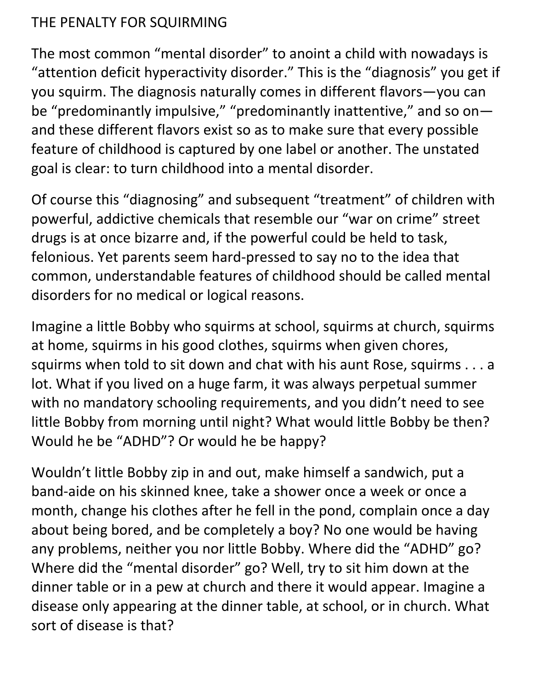## THE PENALTY FOR SQUIRMING

The most common "mental disorder" to anoint a child with nowadays is "attention deficit hyperactivity disorder." This is the "diagnosis" you get if you squirm. The diagnosis naturally comes in different flavors-you can be "predominantly impulsive," "predominantly inattentive," and so onand these different flavors exist so as to make sure that every possible feature of childhood is captured by one label or another. The unstated goal is clear: to turn childhood into a mental disorder.

Of course this "diagnosing" and subsequent "treatment" of children with powerful, addictive chemicals that resemble our "war on crime" street drugs is at once bizarre and, if the powerful could be held to task, felonious. Yet parents seem hard-pressed to say no to the idea that common, understandable features of childhood should be called mental disorders for no medical or logical reasons.

Imagine a little Bobby who squirms at school, squirms at church, squirms at home, squirms in his good clothes, squirms when given chores, squirms when told to sit down and chat with his aunt Rose, squirms . . . a lot. What if you lived on a huge farm, it was always perpetual summer with no mandatory schooling requirements, and you didn't need to see little Bobby from morning until night? What would little Bobby be then? Would he be "ADHD"? Or would he be happy?

Wouldn't little Bobby zip in and out, make himself a sandwich, put a band-aide on his skinned knee, take a shower once a week or once a month, change his clothes after he fell in the pond, complain once a day about being bored, and be completely a boy? No one would be having any problems, neither you nor little Bobby. Where did the "ADHD" go? Where did the "mental disorder" go? Well, try to sit him down at the dinner table or in a pew at church and there it would appear. Imagine a disease only appearing at the dinner table, at school, or in church. What sort of disease is that?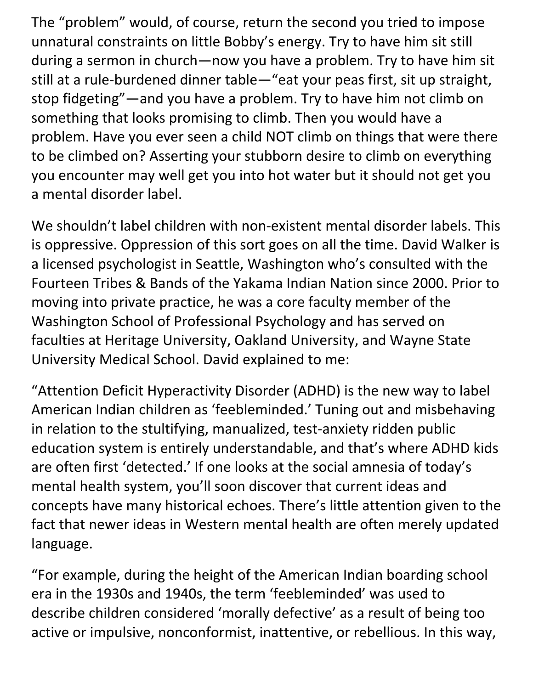The "problem" would, of course, return the second you tried to impose unnatural constraints on little Bobby's energy. Try to have him sit still during a sermon in church—now you have a problem. Try to have him sit still at a rule-burdened dinner table—"eat your peas first, sit up straight, stop fidgeting"—and you have a problem. Try to have him not climb on something that looks promising to climb. Then you would have a problem. Have you ever seen a child NOT climb on things that were there to be climbed on? Asserting your stubborn desire to climb on everything you encounter may well get you into hot water but it should not get you a mental disorder label.

We shouldn't label children with non-existent mental disorder labels. This is oppressive. Oppression of this sort goes on all the time. David Walker is a licensed psychologist in Seattle, Washington who's consulted with the Fourteen Tribes & Bands of the Yakama Indian Nation since 2000. Prior to moving into private practice, he was a core faculty member of the Washington School of Professional Psychology and has served on faculties at Heritage University, Oakland University, and Wayne State University Medical School. David explained to me:

"Attention Deficit Hyperactivity Disorder (ADHD) is the new way to label American Indian children as 'feebleminded.' Tuning out and misbehaving in relation to the stultifying, manualized, test-anxiety ridden public education system is entirely understandable, and that's where ADHD kids are often first 'detected.' If one looks at the social amnesia of today's mental health system, you'll soon discover that current ideas and concepts have many historical echoes. There's little attention given to the fact that newer ideas in Western mental health are often merely updated language.

"For example, during the height of the American Indian boarding school era in the 1930s and 1940s, the term 'feebleminded' was used to describe children considered 'morally defective' as a result of being too active or impulsive, nonconformist, inattentive, or rebellious. In this way,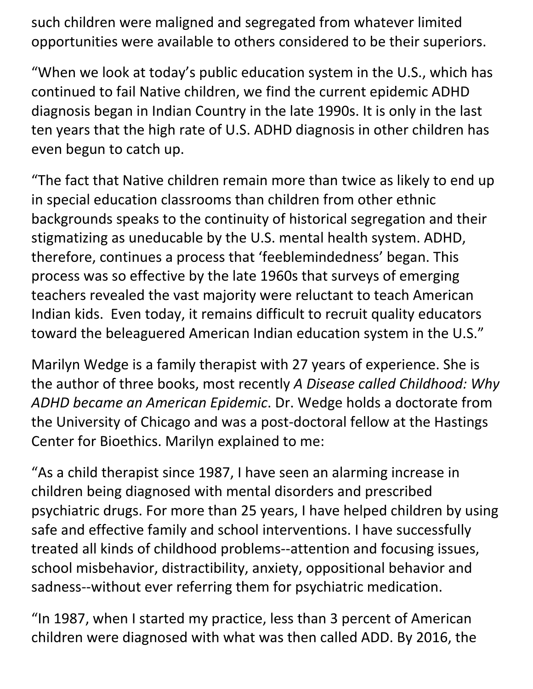such children were maligned and segregated from whatever limited opportunities were available to others considered to be their superiors.

"When we look at today's public education system in the U.S., which has continued to fail Native children, we find the current epidemic ADHD diagnosis began in Indian Country in the late 1990s. It is only in the last ten years that the high rate of U.S. ADHD diagnosis in other children has even begun to catch up.

"The fact that Native children remain more than twice as likely to end up in special education classrooms than children from other ethnic backgrounds speaks to the continuity of historical segregation and their stigmatizing as uneducable by the U.S. mental health system. ADHD, therefore, continues a process that 'feeblemindedness' began. This process was so effective by the late 1960s that surveys of emerging teachers revealed the vast majority were reluctant to teach American Indian kids. Even today, it remains difficult to recruit quality educators toward the beleaguered American Indian education system in the U.S."

Marilyn Wedge is a family therapist with 27 years of experience. She is the author of three books, most recently A Disease called Childhood: Why ADHD became an American Epidemic. Dr. Wedge holds a doctorate from the University of Chicago and was a post-doctoral fellow at the Hastings Center for Bioethics. Marilyn explained to me:

"As a child therapist since 1987, I have seen an alarming increase in children being diagnosed with mental disorders and prescribed psychiatric drugs. For more than 25 years, I have helped children by using safe and effective family and school interventions. I have successfully treated all kinds of childhood problems--attention and focusing issues, school misbehavior, distractibility, anxiety, oppositional behavior and sadness--without ever referring them for psychiatric medication.

"In 1987, when I started my practice, less than 3 percent of American children were diagnosed with what was then called ADD. By 2016, the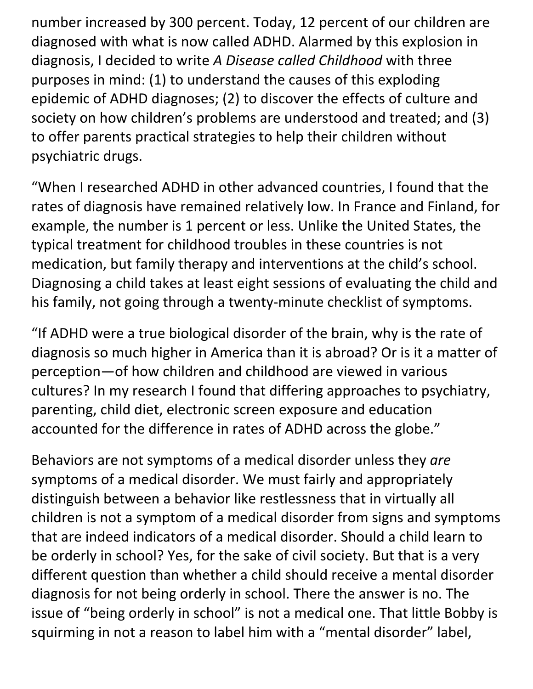number increased by 300 percent. Today, 12 percent of our children are diagnosed with what is now called ADHD. Alarmed by this explosion in diagnosis, I decided to write *A Disease called Childhood* with three purposes in mind: (1) to understand the causes of this exploding epidemic of ADHD diagnoses; (2) to discover the effects of culture and society on how children's problems are understood and treated; and (3) to offer parents practical strategies to help their children without psychiatric drugs.

"When I researched ADHD in other advanced countries, I found that the rates of diagnosis have remained relatively low. In France and Finland, for example, the number is 1 percent or less. Unlike the United States, the typical treatment for childhood troubles in these countries is not medication, but family therapy and interventions at the child's school. Diagnosing a child takes at least eight sessions of evaluating the child and his family, not going through a twenty-minute checklist of symptoms.

"If ADHD were a true biological disorder of the brain, why is the rate of diagnosis so much higher in America than it is abroad? Or is it a matter of perception—of how children and childhood are viewed in various cultures? In my research I found that differing approaches to psychiatry, parenting, child diet, electronic screen exposure and education accounted for the difference in rates of ADHD across the globe."

Behaviors are not symptoms of a medical disorder unless they are symptoms of a medical disorder. We must fairly and appropriately distinguish between a behavior like restlessness that in virtually all children is not a symptom of a medical disorder from signs and symptoms that are indeed indicators of a medical disorder. Should a child learn to be orderly in school? Yes, for the sake of civil society. But that is a very different question than whether a child should receive a mental disorder diagnosis for not being orderly in school. There the answer is no. The issue of "being orderly in school" is not a medical one. That little Bobby is squirming in not a reason to label him with a "mental disorder" label,